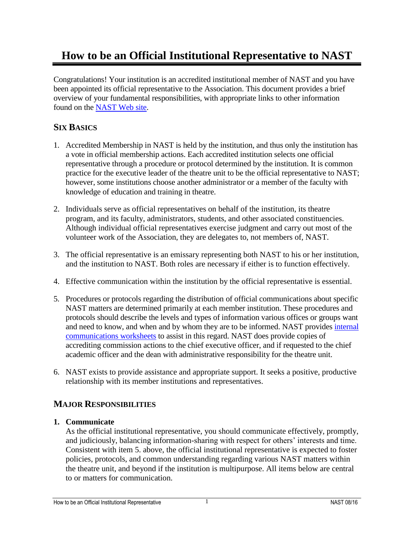# **How to be an Official Institutional Representative to NAST**

Congratulations! Your institution is an accredited institutional member of NAST and you have been appointed its official representative to the Association. This document provides a brief overview of your fundamental responsibilities, with appropriate links to other information found on the [NAST Web site.](http://nast.arts-accredit.org/)

# **SIX BASICS**

- 1. Accredited Membership in NAST is held by the institution, and thus only the institution has a vote in official membership actions. Each accredited institution selects one official representative through a procedure or protocol determined by the institution. It is common practice for the executive leader of the theatre unit to be the official representative to NAST; however, some institutions choose another administrator or a member of the faculty with knowledge of education and training in theatre.
- 2. Individuals serve as official representatives on behalf of the institution, its theatre program, and its faculty, administrators, students, and other associated constituencies. Although individual official representatives exercise judgment and carry out most of the volunteer work of the Association, they are delegates to, not members of, NAST.
- 3. The official representative is an emissary representing both NAST to his or her institution, and the institution to NAST. Both roles are necessary if either is to function effectively.
- 4. Effective communication within the institution by the official representative is essential.
- 5. Procedures or protocols regarding the distribution of official communications about specific NAST matters are determined primarily at each member institution. These procedures and protocols should describe the levels and types of information various offices or groups want and need to know, and when and by whom they are to be informed. NAST provides [internal](https://nast.arts-accredit.org/publications/brochures-advisories/internal-communications/)  [communications](https://nast.arts-accredit.org/publications/brochures-advisories/internal-communications/) worksheets to assist in this regard. NAST does provide copies of accrediting commission actions to the chief executive officer, and if requested to the chief academic officer and the dean with administrative responsibility for the theatre unit.
- 6. NAST exists to provide assistance and appropriate support. It seeks a positive, productive relationship with its member institutions and representatives.

# **MAJOR RESPONSIBILITIES**

# **1. Communicate**

As the official institutional representative, you should communicate effectively, promptly, and judiciously, balancing information-sharing with respect for others' interests and time. Consistent with item 5. above, the official institutional representative is expected to foster policies, protocols, and common understanding regarding various NAST matters within the theatre unit, and beyond if the institution is multipurpose. All items below are central to or matters for communication.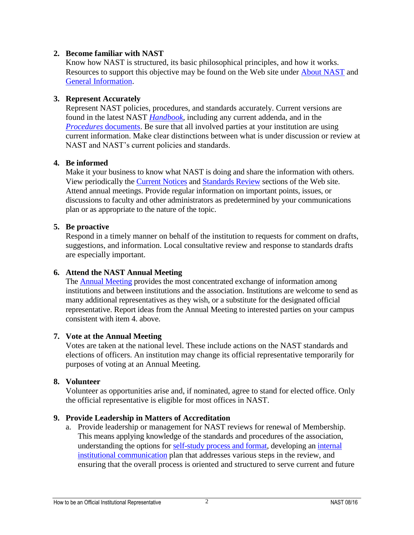# **2. Become familiar with NAST**

Know how NAST is structured, its basic philosophical principles, and how it works. Resources to support this objective may be found on the Web site under [About NAST](https://nast.arts-accredit.org/about/) and [General Information.](https://nast.arts-accredit.org/accreditation/general-information/)

# **3. Represent Accurately**

Represent NAST policies, procedures, and standards accurately. Current versions are found in the latest NAST *[Handbook](https://nast.arts-accredit.org/accreditation/standards-guidelines/handbook/)*, including any current addenda, and in the *[Procedures](https://nast.arts-accredit.org/accreditation/procedures-for-comprehensive-reviews/)* documents. Be sure that all involved parties at your institution are using current information. Make clear distinctions between what is under discussion or review at NAST and NAST's current policies and standards.

# **4. Be informed**

Make it your business to know what NAST is doing and share the information with others. View periodically the [Current Notices](https://nast.arts-accredit.org/about/current-notices/) and [Standards Review](https://nast.arts-accredit.org/accreditation/standards-guidelines/proposed-revisions-comments/) sections of the Web site. Attend annual meetings. Provide regular information on important points, issues, or discussions to faculty and other administrators as predetermined by your communications plan or as appropriate to the nature of the topic.

# **5. Be proactive**

Respond in a timely manner on behalf of the institution to requests for comment on drafts, suggestions, and information. Local consultative review and response to standards drafts are especially important.

# **6. Attend the NAST Annual Meeting**

The [Annual Meeting](http://nast.arts-accredit.org/annual-meeting/) provides the most concentrated exchange of information among institutions and between institutions and the association. Institutions are welcome to send as many additional representatives as they wish, or a substitute for the designated official representative. Report ideas from the Annual Meeting to interested parties on your campus consistent with item 4. above.

#### **7. Vote at the Annual Meeting**

Votes are taken at the national level. These include actions on the NAST standards and elections of officers. An institution may change its official representative temporarily for purposes of voting at an Annual Meeting.

#### **8. Volunteer**

Volunteer as opportunities arise and, if nominated, agree to stand for elected office. Only the official representative is eligible for most offices in NAST.

# **9. Provide Leadership in Matters of Accreditation**

a. Provide leadership or management for NAST reviews for renewal of Membership. This means applying knowledge of the standards and procedures of the association, understanding the options for [self-study process and format,](https://nast.arts-accredit.org/accreditation/comprehensive-review-process/self-study/selecting-a-self-study-format/) developing an internal [institutional communication](https://nast.arts-accredit.org/publications/brochures-advisories/internal-communications/) plan that addresses various steps in the review, and ensuring that the overall process is oriented and structured to serve current and future